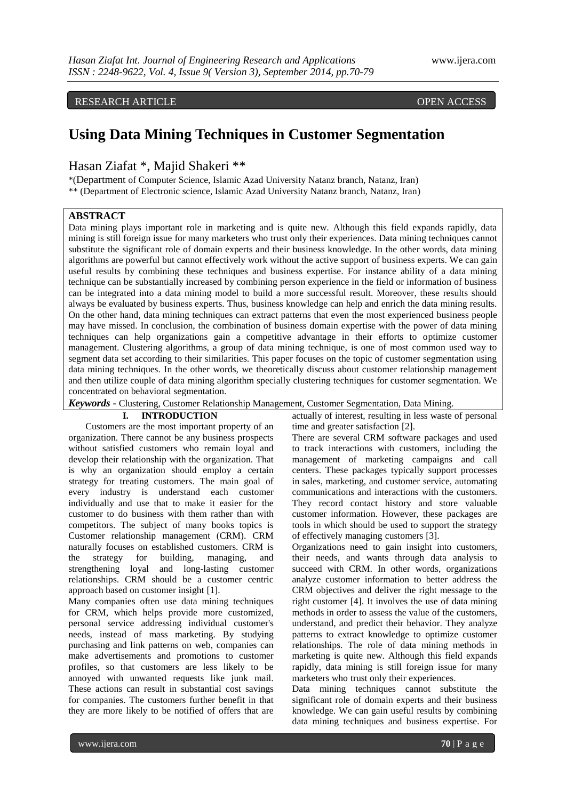RESEARCH ARTICLE **CONSERVERS** OPEN ACCESS

# **Using Data Mining Techniques in Customer Segmentation**

Hasan Ziafat \*, Majid Shakeri \*\*

\*(Department of Computer Science, Islamic Azad University Natanz branch, Natanz, Iran) \*\* (Department of Electronic science, Islamic Azad University Natanz branch, Natanz, Iran)

# **ABSTRACT**

Data mining plays important role in marketing and is quite new. Although this field expands rapidly, data mining is still foreign issue for many marketers who trust only their experiences. Data mining techniques cannot substitute the significant role of domain experts and their business knowledge. In the other words, data mining algorithms are powerful but cannot effectively work without the active support of business experts. We can gain useful results by combining these techniques and business expertise. For instance ability of a data mining technique can be substantially increased by combining person experience in the field or information of business can be integrated into a data mining model to build a more successful result. Moreover, these results should always be evaluated by business experts. Thus, business knowledge can help and enrich the data mining results. On the other hand, data mining techniques can extract patterns that even the most experienced business people may have missed. In conclusion, the combination of business domain expertise with the power of data mining techniques can help organizations gain a competitive advantage in their efforts to optimize customer management. Clustering algorithms, a group of data mining technique, is one of most common used way to segment data set according to their similarities. This paper focuses on the topic of customer segmentation using data mining techniques. In the other words, we theoretically discuss about customer relationship management and then utilize couple of data mining algorithm specially clustering techniques for customer segmentation. We concentrated on behavioral segmentation.

*Keywords* **-** Clustering, Customer Relationship Management, Customer Segmentation, Data Mining.

## **I. INTRODUCTION**

Customers are the most important property of an organization. There cannot be any business prospects without satisfied customers who remain loyal and develop their relationship with the organization. That is why an organization should employ a certain strategy for treating customers. The main goal of every industry is understand each customer individually and use that to make it easier for the customer to do business with them rather than with competitors. The subject of many books topics is Customer relationship management (CRM). CRM naturally focuses on established customers. CRM is the strategy for building, managing, and strengthening loyal and long-lasting customer relationships. CRM should be a customer centric approach based on customer insight [1].

Many companies often use data mining techniques for CRM, which helps provide more customized, personal service addressing individual customer's needs, instead of mass marketing. By studying purchasing and link patterns on web, companies can make advertisements and promotions to customer profiles, so that customers are less likely to be annoyed with unwanted requests like junk mail. These actions can result in substantial cost savings for companies. The customers further benefit in that they are more likely to be notified of offers that are

actually of interest, resulting in less waste of personal time and greater satisfaction [2].

There are several CRM software packages and used to track interactions with customers, including the management of marketing campaigns and call centers. These packages typically support processes in sales, marketing, and customer service, automating communications and interactions with the customers. They record contact history and store valuable customer information. However, these packages are tools in which should be used to support the strategy of effectively managing customers [3].

Organizations need to gain insight into customers, their needs, and wants through data analysis to succeed with CRM. In other words, organizations analyze customer information to better address the CRM objectives and deliver the right message to the right customer [4]. It involves the use of data mining methods in order to assess the value of the customers, understand, and predict their behavior. They analyze patterns to extract knowledge to optimize customer relationships. The role of data mining methods in marketing is quite new. Although this field expands rapidly, data mining is still foreign issue for many marketers who trust only their experiences.

Data mining techniques cannot substitute the significant role of domain experts and their business knowledge. We can gain useful results by combining data mining techniques and business expertise. For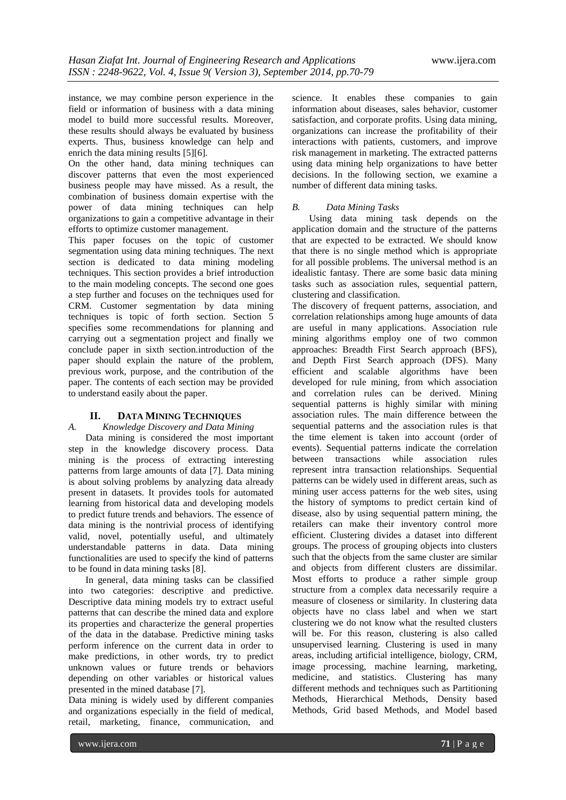instance, we may combine person experience in the field or information of business with a data mining model to build more successful results. Moreover, these results should always be evaluated by business experts. Thus, business knowledge can help and enrich the data mining results [5][6].

On the other hand, data mining techniques can discover patterns that even the most experienced business people may have missed. As a result, the combination of business domain expertise with the power of data mining techniques can help organizations to gain a competitive advantage in their efforts to optimize customer management.

This paper focuses on the topic of customer segmentation using data mining techniques. The next section is dedicated to data mining modeling techniques. This section provides a brief introduction to the main modeling concepts. The second one goes a step further and focuses on the techniques used for CRM. Customer segmentation by data mining techniques is topic of forth section. Section 5 specifies some recommendations for planning and carrying out a segmentation project and finally we conclude paper in sixth section.introduction of the paper should explain the nature of the problem, previous work, purpose, and the contribution of the paper. The contents of each section may be provided to understand easily about the paper.

# **II. DATA MINING TECHNIQUES**

# *A. Knowledge Discovery and Data Mining*

Data mining is considered the most important step in the knowledge discovery process. Data mining is the process of extracting interesting patterns from large amounts of data [7]. Data mining is about solving problems by analyzing data already present in datasets. It provides tools for automated learning from historical data and developing models to predict future trends and behaviors. The essence of data mining is the nontrivial process of identifying valid, novel, potentially useful, and ultimately understandable patterns in data. Data mining functionalities are used to specify the kind of patterns to be found in data mining tasks [8].

In general, data mining tasks can be classified into two categories: descriptive and predictive. Descriptive data mining models try to extract useful patterns that can describe the mined data and explore its properties and characterize the general properties of the data in the database. Predictive mining tasks perform inference on the current data in order to make predictions, in other words, try to predict unknown values or future trends or behaviors depending on other variables or historical values presented in the mined database [7].

Data mining is widely used by different companies and organizations especially in the field of medical, retail, marketing, finance, communication, and

science. It enables these companies to gain information about diseases, sales behavior, customer satisfaction, and corporate profits. Using data mining, organizations can increase the profitability of their interactions with patients, customers, and improve risk management in marketing. The extracted patterns using data mining help organizations to have better decisions. In the following section, we examine a number of different data mining tasks.

# *B. Data Mining Tasks*

Using data mining task depends on the application domain and the structure of the patterns that are expected to be extracted. We should know that there is no single method which is appropriate for all possible problems. The universal method is an idealistic fantasy. There are some basic data mining tasks such as association rules, sequential pattern, clustering and classification.

The discovery of frequent patterns, association, and correlation relationships among huge amounts of data are useful in many applications. Association rule mining algorithms employ one of two common approaches: Breadth First Search approach (BFS), and Depth First Search approach (DFS). Many efficient and scalable algorithms have been developed for rule mining, from which association and correlation rules can be derived. Mining sequential patterns is highly similar with mining association rules. The main difference between the sequential patterns and the association rules is that the time element is taken into account (order of events). Sequential patterns indicate the correlation between transactions while association rules represent intra transaction relationships. Sequential patterns can be widely used in different areas, such as mining user access patterns for the web sites, using the history of symptoms to predict certain kind of disease, also by using sequential pattern mining, the retailers can make their inventory control more efficient. Clustering divides a dataset into different groups. The process of grouping objects into clusters such that the objects from the same cluster are similar and objects from different clusters are dissimilar. Most efforts to produce a rather simple group structure from a complex data necessarily require a measure of closeness or similarity. In clustering data objects have no class label and when we start clustering we do not know what the resulted clusters will be. For this reason, clustering is also called unsupervised learning. Clustering is used in many areas, including artificial intelligence, biology, CRM, image processing, machine learning, marketing, medicine, and statistics. Clustering has many different methods and techniques such as Partitioning Methods, Hierarchical Methods, Density based Methods, Grid based Methods, and Model based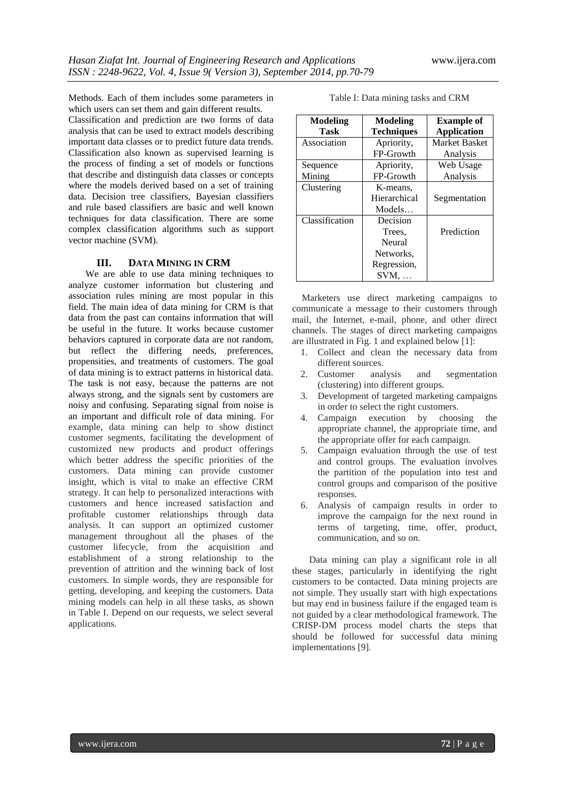Methods. Each of them includes some parameters in which users can set them and gain different results.

Classification and prediction are two forms of data analysis that can be used to extract models describing important data classes or to predict future data trends. Classification also known as supervised learning is the process of finding a set of models or functions that describe and distinguish data classes or concepts where the models derived based on a set of training data. Decision tree classifiers, Bayesian classifiers and rule based classifiers are basic and well known techniques for data classification. There are some complex classification algorithms such as support vector machine (SVM).

#### **III. DATA MINING IN CRM**

We are able to use data mining techniques to analyze customer information but clustering and association rules mining are most popular in this field. The main idea of data mining for CRM is that data from the past can contains information that will be useful in the future. It works because customer behaviors captured in corporate data are not random, but reflect the differing needs, preferences, propensities, and treatments of customers. The goal of data mining is to extract patterns in historical data. The task is not easy, because the patterns are not always strong, and the signals sent by customers are noisy and confusing. Separating signal from noise is an important and difficult role of data mining. For example, data mining can help to show distinct customer segments, facilitating the development of customized new products and product offerings which better address the specific priorities of the customers. Data mining can provide customer insight, which is vital to make an effective CRM strategy. It can help to personalized interactions with customers and hence increased satisfaction and profitable customer relationships through data analysis. It can support an optimized customer management throughout all the phases of the customer lifecycle, from the acquisition and establishment of a strong relationship to the prevention of attrition and the winning back of lost customers. In simple words, they are responsible for getting, developing, and keeping the customers. Data mining models can help in all these tasks, as shown in Table I. Depend on our requests, we select several applications.

|  | Table I: Data mining tasks and CRM |
|--|------------------------------------|
|  |                                    |

| Modeling<br><b>Task</b> | <b>Modeling</b><br><b>Techniques</b> | <b>Example of</b><br><b>Application</b> |
|-------------------------|--------------------------------------|-----------------------------------------|
| Association             | Apriority,                           | Market Basket                           |
|                         | FP-Growth                            | Analysis                                |
| Sequence                | Apriority,                           | Web Usage                               |
| Mining                  | FP-Growth                            | Analysis                                |
| Clustering              | K-means,                             |                                         |
|                         | Hierarchical                         | Segmentation                            |
|                         | Models                               |                                         |
| Classification          | Decision                             |                                         |
|                         | Trees.                               | Prediction                              |
|                         | Neural                               |                                         |
|                         | Networks.                            |                                         |
|                         | Regression,                          |                                         |
|                         | $SVM$ ,                              |                                         |

Marketers use direct marketing campaigns to communicate a message to their customers through mail, the Internet, e-mail, phone, and other direct channels. The stages of direct marketing campaigns are illustrated in Fig. 1 and explained below [1]:

- 1. Collect and clean the necessary data from different sources.
- 2. Customer analysis and segmentation (clustering) into different groups.
- 3. Development of targeted marketing campaigns in order to select the right customers.
- 4. Campaign execution by choosing the appropriate channel, the appropriate time, and the appropriate offer for each campaign.
- 5. Campaign evaluation through the use of test and control groups. The evaluation involves the partition of the population into test and control groups and comparison of the positive responses.
- 6. Analysis of campaign results in order to improve the campaign for the next round in terms of targeting, time, offer, product, communication, and so on.

Data mining can play a significant role in all these stages, particularly in identifying the right customers to be contacted. Data mining projects are not simple. They usually start with high expectations but may end in business failure if the engaged team is not guided by a clear methodological framework. The CRISP-DM process model charts the steps that should be followed for successful data mining implementations [9].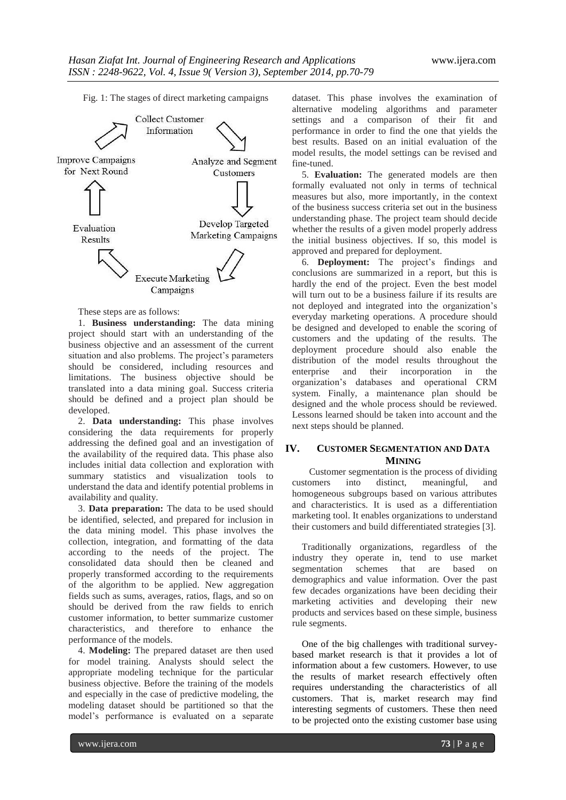Fig. 1: The stages of direct marketing campaigns



These steps are as follows:

1. **Business understanding:** The data mining project should start with an understanding of the business objective and an assessment of the current situation and also problems. The project's parameters should be considered, including resources and limitations. The business objective should be translated into a data mining goal. Success criteria should be defined and a project plan should be developed.

2. **Data understanding:** This phase involves considering the data requirements for properly addressing the defined goal and an investigation of the availability of the required data. This phase also includes initial data collection and exploration with summary statistics and visualization tools to understand the data and identify potential problems in availability and quality.

3. **Data preparation:** The data to be used should be identified, selected, and prepared for inclusion in the data mining model. This phase involves the collection, integration, and formatting of the data according to the needs of the project. The consolidated data should then be cleaned and properly transformed according to the requirements of the algorithm to be applied. New aggregation fields such as sums, averages, ratios, flags, and so on should be derived from the raw fields to enrich customer information, to better summarize customer characteristics, and therefore to enhance the performance of the models.

4. **Modeling:** The prepared dataset are then used for model training. Analysts should select the appropriate modeling technique for the particular business objective. Before the training of the models and especially in the case of predictive modeling, the modeling dataset should be partitioned so that the model"s performance is evaluated on a separate

dataset. This phase involves the examination of alternative modeling algorithms and parameter settings and a comparison of their fit and performance in order to find the one that yields the best results. Based on an initial evaluation of the model results, the model settings can be revised and fine-tuned.

5. **Evaluation:** The generated models are then formally evaluated not only in terms of technical measures but also, more importantly, in the context of the business success criteria set out in the business understanding phase. The project team should decide whether the results of a given model properly address the initial business objectives. If so, this model is approved and prepared for deployment.

6. **Deployment:** The project's findings and conclusions are summarized in a report, but this is hardly the end of the project. Even the best model will turn out to be a business failure if its results are not deployed and integrated into the organization"s everyday marketing operations. A procedure should be designed and developed to enable the scoring of customers and the updating of the results. The deployment procedure should also enable the distribution of the model results throughout the enterprise and their incorporation in the organization"s databases and operational CRM system. Finally, a maintenance plan should be designed and the whole process should be reviewed. Lessons learned should be taken into account and the next steps should be planned.

# **IV. CUSTOMER SEGMENTATION AND DATA MINING**

Customer segmentation is the process of dividing customers into distinct, meaningful, and homogeneous subgroups based on various attributes and characteristics. It is used as a differentiation marketing tool. It enables organizations to understand their customers and build differentiated strategies [3].

Traditionally organizations, regardless of the industry they operate in, tend to use market segmentation schemes that are based on demographics and value information. Over the past few decades organizations have been deciding their marketing activities and developing their new products and services based on these simple, business rule segments.

One of the big challenges with traditional surveybased market research is that it provides a lot of information about a few customers. However, to use the results of market research effectively often requires understanding the characteristics of all customers. That is, market research may find interesting segments of customers. These then need to be projected onto the existing customer base using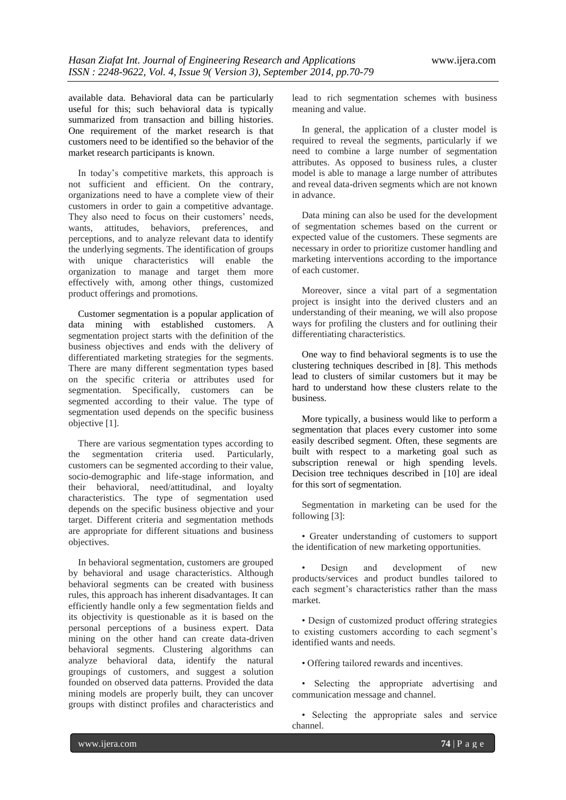available data. Behavioral data can be particularly useful for this; such behavioral data is typically summarized from transaction and billing histories. One requirement of the market research is that customers need to be identified so the behavior of the market research participants is known.

In today"s competitive markets, this approach is not sufficient and efficient. On the contrary, organizations need to have a complete view of their customers in order to gain a competitive advantage. They also need to focus on their customers' needs, wants, attitudes, behaviors, preferences, and perceptions, and to analyze relevant data to identify the underlying segments. The identification of groups with unique characteristics will enable the organization to manage and target them more effectively with, among other things, customized product offerings and promotions.

Customer segmentation is a popular application of data mining with established customers. A segmentation project starts with the definition of the business objectives and ends with the delivery of differentiated marketing strategies for the segments. There are many different segmentation types based on the specific criteria or attributes used for segmentation. Specifically, customers can be segmented according to their value. The type of segmentation used depends on the specific business objective [1].

There are various segmentation types according to the segmentation criteria used. Particularly, customers can be segmented according to their value, socio-demographic and life-stage information, and their behavioral, need/attitudinal, and loyalty characteristics. The type of segmentation used depends on the specific business objective and your target. Different criteria and segmentation methods are appropriate for different situations and business objectives.

In behavioral segmentation, customers are grouped by behavioral and usage characteristics. Although behavioral segments can be created with business rules, this approach has inherent disadvantages. It can efficiently handle only a few segmentation fields and its objectivity is questionable as it is based on the personal perceptions of a business expert. Data mining on the other hand can create data-driven behavioral segments. Clustering algorithms can analyze behavioral data, identify the natural groupings of customers, and suggest a solution founded on observed data patterns. Provided the data mining models are properly built, they can uncover groups with distinct profiles and characteristics and

lead to rich segmentation schemes with business meaning and value.

In general, the application of a cluster model is required to reveal the segments, particularly if we need to combine a large number of segmentation attributes. As opposed to business rules, a cluster model is able to manage a large number of attributes and reveal data-driven segments which are not known in advance.

Data mining can also be used for the development of segmentation schemes based on the current or expected value of the customers. These segments are necessary in order to prioritize customer handling and marketing interventions according to the importance of each customer.

Moreover, since a vital part of a segmentation project is insight into the derived clusters and an understanding of their meaning, we will also propose ways for profiling the clusters and for outlining their differentiating characteristics.

One way to find behavioral segments is to use the clustering techniques described in [8]. This methods lead to clusters of similar customers but it may be hard to understand how these clusters relate to the business.

More typically, a business would like to perform a segmentation that places every customer into some easily described segment. Often, these segments are built with respect to a marketing goal such as subscription renewal or high spending levels. Decision tree techniques described in [10] are ideal for this sort of segmentation.

Segmentation in marketing can be used for the following [3]:

• Greater understanding of customers to support the identification of new marketing opportunities.

Design and development of new products/services and product bundles tailored to each segment's characteristics rather than the mass market.

• Design of customized product offering strategies to existing customers according to each segment"s identified wants and needs.

• Offering tailored rewards and incentives.

• Selecting the appropriate advertising and communication message and channel.

• Selecting the appropriate sales and service channel.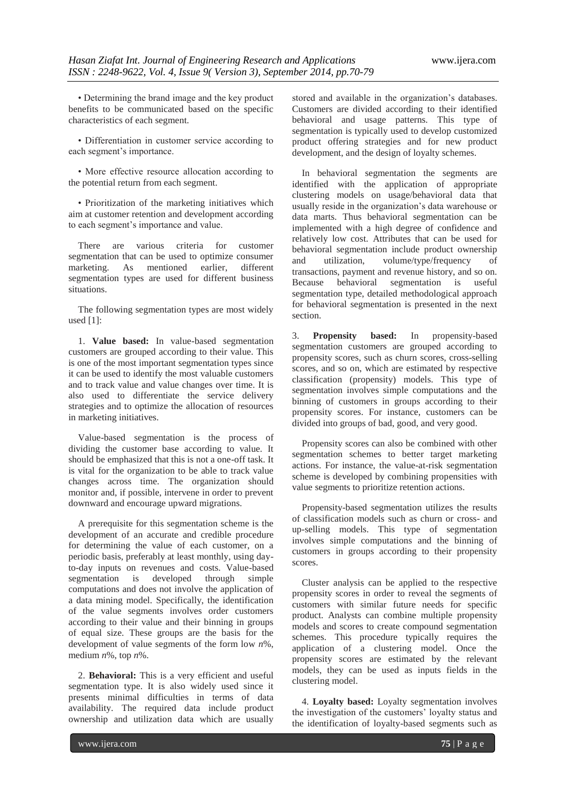• Determining the brand image and the key product benefits to be communicated based on the specific characteristics of each segment.

• Differentiation in customer service according to each segment's importance.

• More effective resource allocation according to the potential return from each segment.

• Prioritization of the marketing initiatives which aim at customer retention and development according to each segment"s importance and value.

There are various criteria for customer segmentation that can be used to optimize consumer marketing. As mentioned earlier, different segmentation types are used for different business situations.

The following segmentation types are most widely used [1]:

1. **Value based:** In value-based segmentation customers are grouped according to their value. This is one of the most important segmentation types since it can be used to identify the most valuable customers and to track value and value changes over time. It is also used to differentiate the service delivery strategies and to optimize the allocation of resources in marketing initiatives.

Value-based segmentation is the process of dividing the customer base according to value. It should be emphasized that this is not a one-off task. It is vital for the organization to be able to track value changes across time. The organization should monitor and, if possible, intervene in order to prevent downward and encourage upward migrations.

A prerequisite for this segmentation scheme is the development of an accurate and credible procedure for determining the value of each customer, on a periodic basis, preferably at least monthly, using dayto-day inputs on revenues and costs. Value-based segmentation is developed through simple computations and does not involve the application of a data mining model. Specifically, the identification of the value segments involves order customers according to their value and their binning in groups of equal size. These groups are the basis for the development of value segments of the form low *n*%, medium *n*%, top *n*%.

2. **Behavioral:** This is a very efficient and useful segmentation type. It is also widely used since it presents minimal difficulties in terms of data availability. The required data include product ownership and utilization data which are usually

stored and available in the organization"s databases. Customers are divided according to their identified behavioral and usage patterns. This type of segmentation is typically used to develop customized product offering strategies and for new product development, and the design of loyalty schemes.

In behavioral segmentation the segments are identified with the application of appropriate clustering models on usage/behavioral data that usually reside in the organization"s data warehouse or data marts. Thus behavioral segmentation can be implemented with a high degree of confidence and relatively low cost. Attributes that can be used for behavioral segmentation include product ownership and utilization, volume/type/frequency of transactions, payment and revenue history, and so on. Because behavioral segmentation is useful segmentation type, detailed methodological approach for behavioral segmentation is presented in the next section.

3. **Propensity based:** In propensity-based segmentation customers are grouped according to propensity scores, such as churn scores, cross-selling scores, and so on, which are estimated by respective classification (propensity) models. This type of segmentation involves simple computations and the binning of customers in groups according to their propensity scores. For instance, customers can be divided into groups of bad, good, and very good.

Propensity scores can also be combined with other segmentation schemes to better target marketing actions. For instance, the value-at-risk segmentation scheme is developed by combining propensities with value segments to prioritize retention actions.

Propensity-based segmentation utilizes the results of classification models such as churn or cross- and up-selling models. This type of segmentation involves simple computations and the binning of customers in groups according to their propensity scores.

Cluster analysis can be applied to the respective propensity scores in order to reveal the segments of customers with similar future needs for specific product. Analysts can combine multiple propensity models and scores to create compound segmentation schemes. This procedure typically requires the application of a clustering model. Once the propensity scores are estimated by the relevant models, they can be used as inputs fields in the clustering model.

4. **Loyalty based:** Loyalty segmentation involves the investigation of the customers' loyalty status and the identification of loyalty-based segments such as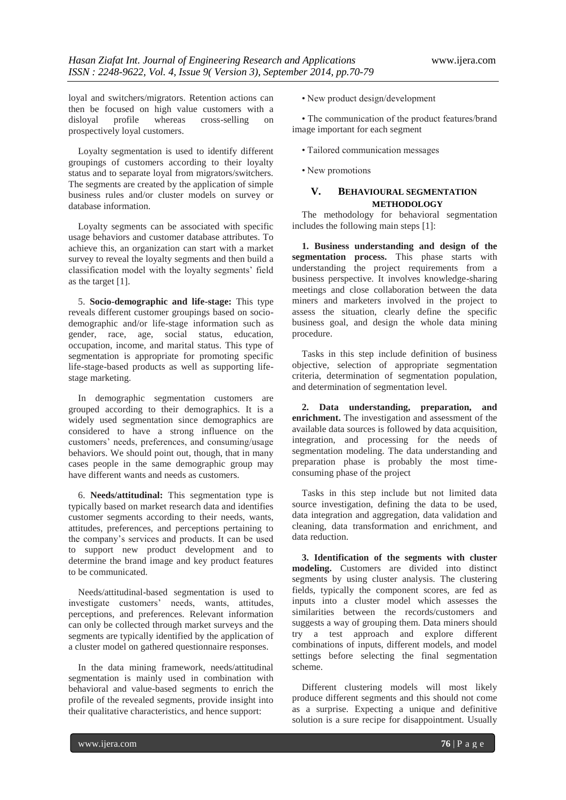loyal and switchers/migrators. Retention actions can then be focused on high value customers with a disloyal profile whereas cross-selling on cross-selling on prospectively loyal customers.

Loyalty segmentation is used to identify different groupings of customers according to their loyalty status and to separate loyal from migrators/switchers. The segments are created by the application of simple business rules and/or cluster models on survey or database information.

Loyalty segments can be associated with specific usage behaviors and customer database attributes. To achieve this, an organization can start with a market survey to reveal the loyalty segments and then build a classification model with the loyalty segments" field as the target [1].

5. **Socio-demographic and life-stage:** This type reveals different customer groupings based on sociodemographic and/or life-stage information such as gender, race, age, social status, education, occupation, income, and marital status. This type of segmentation is appropriate for promoting specific life-stage-based products as well as supporting lifestage marketing.

In demographic segmentation customers are grouped according to their demographics. It is a widely used segmentation since demographics are considered to have a strong influence on the customers" needs, preferences, and consuming/usage behaviors. We should point out, though, that in many cases people in the same demographic group may have different wants and needs as customers.

6. **Needs/attitudinal:** This segmentation type is typically based on market research data and identifies customer segments according to their needs, wants, attitudes, preferences, and perceptions pertaining to the company"s services and products. It can be used to support new product development and to determine the brand image and key product features to be communicated.

Needs/attitudinal-based segmentation is used to investigate customers" needs, wants, attitudes, perceptions, and preferences. Relevant information can only be collected through market surveys and the segments are typically identified by the application of a cluster model on gathered questionnaire responses.

In the data mining framework, needs/attitudinal segmentation is mainly used in combination with behavioral and value-based segments to enrich the profile of the revealed segments, provide insight into their qualitative characteristics, and hence support:

• New product design/development

• The communication of the product features/brand image important for each segment

- Tailored communication messages
- New promotions

# **V. BEHAVIOURAL SEGMENTATION METHODOLOGY**

The methodology for behavioral segmentation includes the following main steps [1]:

**1. Business understanding and design of the segmentation process.** This phase starts with understanding the project requirements from a business perspective. It involves knowledge-sharing meetings and close collaboration between the data miners and marketers involved in the project to assess the situation, clearly define the specific business goal, and design the whole data mining procedure.

Tasks in this step include definition of business objective, selection of appropriate segmentation criteria, determination of segmentation population, and determination of segmentation level.

**2. Data understanding, preparation, and enrichment.** The investigation and assessment of the available data sources is followed by data acquisition, integration, and processing for the needs of segmentation modeling. The data understanding and preparation phase is probably the most timeconsuming phase of the project

Tasks in this step include but not limited data source investigation, defining the data to be used, data integration and aggregation, data validation and cleaning, data transformation and enrichment, and data reduction.

**3. Identification of the segments with cluster modeling.** Customers are divided into distinct segments by using cluster analysis. The clustering fields, typically the component scores, are fed as inputs into a cluster model which assesses the similarities between the records/customers and suggests a way of grouping them. Data miners should try a test approach and explore different combinations of inputs, different models, and model settings before selecting the final segmentation scheme.

Different clustering models will most likely produce different segments and this should not come as a surprise. Expecting a unique and definitive solution is a sure recipe for disappointment. Usually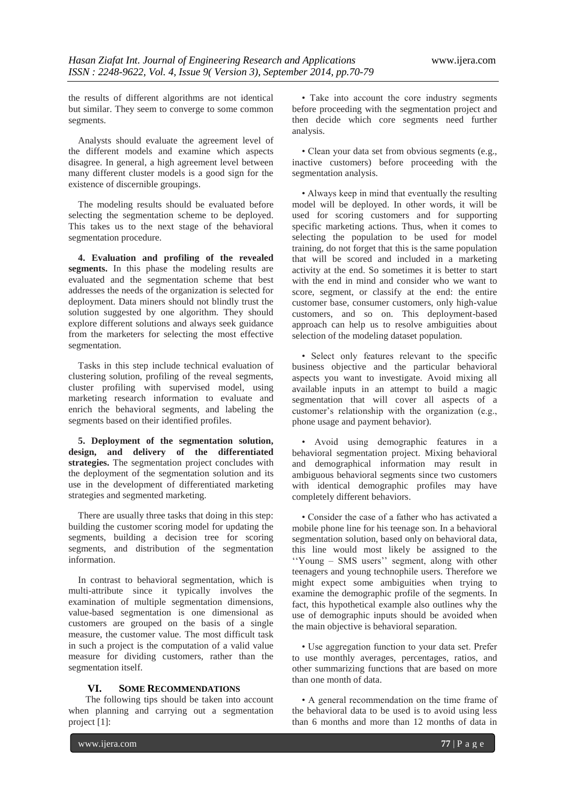the results of different algorithms are not identical but similar. They seem to converge to some common segments.

Analysts should evaluate the agreement level of the different models and examine which aspects disagree. In general, a high agreement level between many different cluster models is a good sign for the existence of discernible groupings.

The modeling results should be evaluated before selecting the segmentation scheme to be deployed. This takes us to the next stage of the behavioral segmentation procedure.

**4. Evaluation and profiling of the revealed segments.** In this phase the modeling results are evaluated and the segmentation scheme that best addresses the needs of the organization is selected for deployment. Data miners should not blindly trust the solution suggested by one algorithm. They should explore different solutions and always seek guidance from the marketers for selecting the most effective segmentation.

Tasks in this step include technical evaluation of clustering solution, profiling of the reveal segments, cluster profiling with supervised model, using marketing research information to evaluate and enrich the behavioral segments, and labeling the segments based on their identified profiles.

**5. Deployment of the segmentation solution, design, and delivery of the differentiated strategies.** The segmentation project concludes with the deployment of the segmentation solution and its use in the development of differentiated marketing strategies and segmented marketing.

There are usually three tasks that doing in this step: building the customer scoring model for updating the segments, building a decision tree for scoring segments, and distribution of the segmentation information.

In contrast to behavioral segmentation, which is multi-attribute since it typically involves the examination of multiple segmentation dimensions, value-based segmentation is one dimensional as customers are grouped on the basis of a single measure, the customer value. The most difficult task in such a project is the computation of a valid value measure for dividing customers, rather than the segmentation itself.

#### **VI. SOME RECOMMENDATIONS**

The following tips should be taken into account when planning and carrying out a segmentation project [1]:

• Take into account the core industry segments before proceeding with the segmentation project and then decide which core segments need further analysis.

• Clean your data set from obvious segments (e.g., inactive customers) before proceeding with the segmentation analysis.

• Always keep in mind that eventually the resulting model will be deployed. In other words, it will be used for scoring customers and for supporting specific marketing actions. Thus, when it comes to selecting the population to be used for model training, do not forget that this is the same population that will be scored and included in a marketing activity at the end. So sometimes it is better to start with the end in mind and consider who we want to score, segment, or classify at the end: the entire customer base, consumer customers, only high-value customers, and so on. This deployment-based approach can help us to resolve ambiguities about selection of the modeling dataset population.

• Select only features relevant to the specific business objective and the particular behavioral aspects you want to investigate. Avoid mixing all available inputs in an attempt to build a magic segmentation that will cover all aspects of a customer"s relationship with the organization (e.g., phone usage and payment behavior).

• Avoid using demographic features in a behavioral segmentation project. Mixing behavioral and demographical information may result in ambiguous behavioral segments since two customers with identical demographic profiles may have completely different behaviors.

• Consider the case of a father who has activated a mobile phone line for his teenage son. In a behavioral segmentation solution, based only on behavioral data, this line would most likely be assigned to the "Young - SMS users" segment, along with other teenagers and young technophile users. Therefore we might expect some ambiguities when trying to examine the demographic profile of the segments. In fact, this hypothetical example also outlines why the use of demographic inputs should be avoided when the main objective is behavioral separation.

• Use aggregation function to your data set. Prefer to use monthly averages, percentages, ratios, and other summarizing functions that are based on more than one month of data.

• A general recommendation on the time frame of the behavioral data to be used is to avoid using less than 6 months and more than 12 months of data in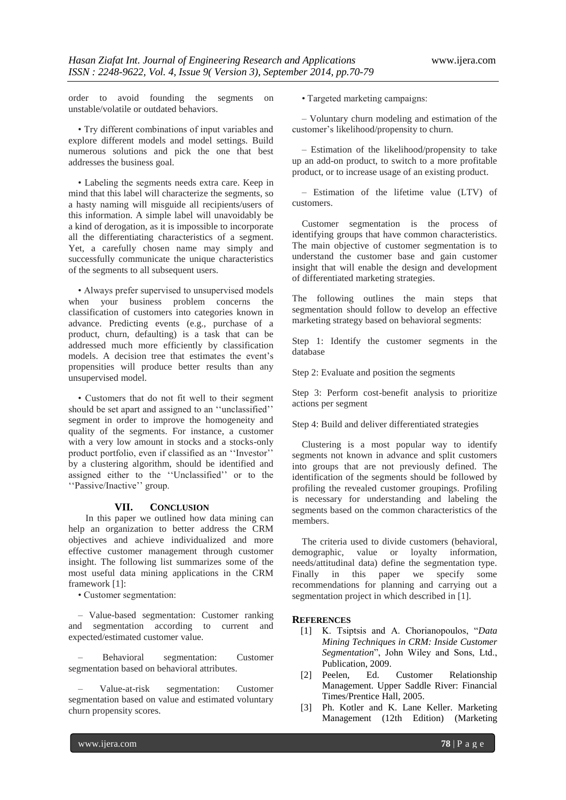order to avoid founding the segments on unstable/volatile or outdated behaviors.

• Try different combinations of input variables and explore different models and model settings. Build numerous solutions and pick the one that best addresses the business goal.

• Labeling the segments needs extra care. Keep in mind that this label will characterize the segments, so a hasty naming will misguide all recipients/users of this information. A simple label will unavoidably be a kind of derogation, as it is impossible to incorporate all the differentiating characteristics of a segment. Yet, a carefully chosen name may simply and successfully communicate the unique characteristics of the segments to all subsequent users.

• Always prefer supervised to unsupervised models when your business problem concerns the classification of customers into categories known in advance. Predicting events (e.g., purchase of a product, churn, defaulting) is a task that can be addressed much more efficiently by classification models. A decision tree that estimates the event"s propensities will produce better results than any unsupervised model.

• Customers that do not fit well to their segment should be set apart and assigned to an "unclassified" segment in order to improve the homogeneity and quality of the segments. For instance, a customer with a very low amount in stocks and a stocks-only product portfolio, even if classified as an "Investor" by a clustering algorithm, should be identified and assigned either to the "Unclassified" or to the "Passive/Inactive" group.

### **VII. CONCLUSION**

In this paper we outlined how data mining can help an organization to better address the CRM objectives and achieve individualized and more effective customer management through customer insight. The following list summarizes some of the most useful data mining applications in the CRM framework [1]:

• Customer segmentation:

– Value-based segmentation: Customer ranking and segmentation according to current and expected/estimated customer value.

– Behavioral segmentation: Customer segmentation based on behavioral attributes.

– Value-at-risk segmentation: Customer segmentation based on value and estimated voluntary churn propensity scores.

• Targeted marketing campaigns:

– Voluntary churn modeling and estimation of the customer"s likelihood/propensity to churn.

– Estimation of the likelihood/propensity to take up an add-on product, to switch to a more profitable product, or to increase usage of an existing product.

– Estimation of the lifetime value (LTV) of customers.

Customer segmentation is the process of identifying groups that have common characteristics. The main objective of customer segmentation is to understand the customer base and gain customer insight that will enable the design and development of differentiated marketing strategies.

The following outlines the main steps that segmentation should follow to develop an effective marketing strategy based on behavioral segments:

Step 1: Identify the customer segments in the database

Step 2: Evaluate and position the segments

Step 3: Perform cost-benefit analysis to prioritize actions per segment

Step 4: Build and deliver differentiated strategies

Clustering is a most popular way to identify segments not known in advance and split customers into groups that are not previously defined. The identification of the segments should be followed by profiling the revealed customer groupings. Profiling is necessary for understanding and labeling the segments based on the common characteristics of the members.

The criteria used to divide customers (behavioral, demographic, value or loyalty information, needs/attitudinal data) define the segmentation type. Finally in this paper we specify some recommendations for planning and carrying out a segmentation project in which described in [1].

### **REFERENCES**

- [1] K. Tsiptsis and A. Chorianopoulos, "*Data Mining Techniques in CRM: Inside Customer Segmentation*", John Wiley and Sons, Ltd., Publication, 2009.
- [2] Peelen, Ed. Customer Relationship Management. Upper Saddle River: Financial Times/Prentice Hall, 2005.
- [3] Ph. Kotler and K. Lane Keller. Marketing Management (12th Edition) (Marketing